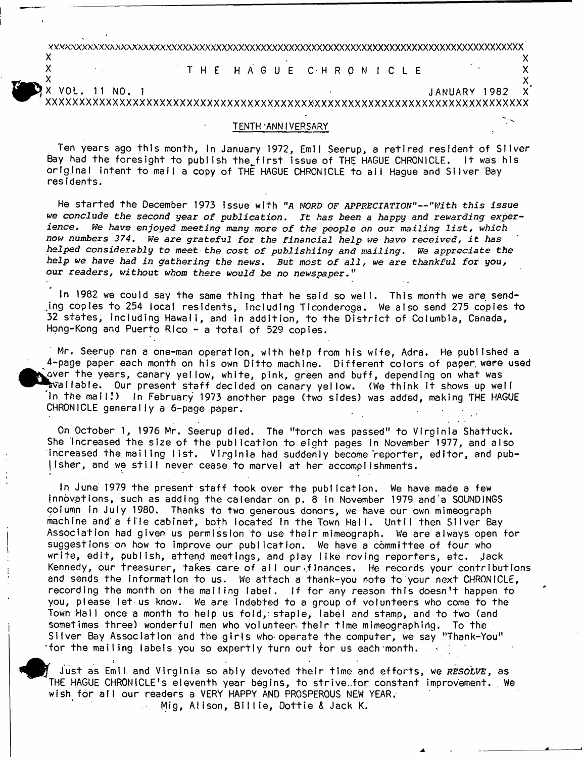YY.vxxxxxxxxaxxxxxxxxXXXXXXXXXXXXXXXXXXXXXXXXXXXXXXXXXXXXXXXXXXXXXXXXXXXXXXXXXXXXXXXXX  $\mathsf{x}$  x  $\mathsf{y}$ 

X THE HAGUE CHRONICLE X<br>X

 $x$  and  $x$  and  $x$  and  $x$  and  $x$  and  $x$  and  $x$  and  $x$  and  $x$  and  $x$ X VOL. 11 NO. 1 JANUARY 1982 X' XXXXXXXXXXXXXXXXXXXXXXXXXXXXXXXXXXXXXXXXXXXXXXXXXXXXXXXXXXXXXXXXXXXXXXXX

#### TENTH-ANNIVERSARY ,

Ten years ago this month, In January 1972, Emil Seerup, a retired resident of Silver Bay had the foresight to publish the first issue of THE HAGUE CHRONICLE. It was his original intent to mail a copy of THE HAGUE CHRONICLE to all Hague and Silver Bay res idents.

He started the December 1973 issue with "A WORD OF APPRECIATION"--"With this issue *we conclude the second year of publication. It has been a happy and rewarding experience. We have enjoyed meeting many more of the people on our mailing list*, *which now numbers 374. We are grateful for the financial help we have received, it has helped considerably to meet the cost of publishiing and mailing. We appreciate the help we have had in gathering the news*. *But most of all, we are thankful for you,* our *readers, without whom there would be no newspaper*."

In 1982 we could say the same thing that he said so well. This month we are sending copies to 254 local residents, including Ticonderoga. We also send 275 copies to 32 states, including Hawaii, and in addition, to the District of Columbia, Canada, Hong-Kong and Puerto Rico - a total of 529 copies.

*f*

Mr. Seerup ran a one-man operation, w ith help from his w ife, Adra. He published a 4-page paper each month on his own Ditto machine. Different colors of paper were used  $\omega$ ver the years, canary yellow, white, pink, green and buff, depending on what was vallable. Our present staff decided on canary yellow. (We think it shows up well in the mail!) In February 1973 another page (two sides) was added, making THE HAGUE CHRONICLE generally a 6-page paper.

On October 1, 1976 Mr. Seerup died. The "torch was passed" to Virginia Shattuck. She increased the size of the publication to eight pages in November 1977, and also Increased the mailing list. Virginia had suddenly become reporter, editor, and publisher, and we still never cease to marvel at her accomplishments.

In June 1979 the present staff took over the publication. We have made a few innovations, such as adding the calendar on p. 8 in November 1979 and a SOUNDINGS golumn in July 1980. Thanks to two generous donors, we have our own mimeograph machine and a file cabinet, both located in the Town Hall. Until then Silver Bay Association had given us permission to use their mimeograph. We are always open for suggestions on how to improve our publication. We have a committee of four who write, edit, publish, attend meetings, and play like roving reporters, etc. Jack Kennedy, our treasurer, takes care of all our finances. He records your contributions and sends the information to us. We attach a thank-you note to your next CHRONICLE, recording the month on the mailing label. If for any reason this doesn't happen to you, please let us know. We are indebted to a group of volunteers who come to the Town Hall once a month to help us fold, staple, label and stamp, and to two (and sometimes three) wonderful men who volunteer their time mimeographing. To the Silver Bay Association and the girls who operate the computer, we say "Thank-You" 'for the mailing labels you so expertly turn out for us each month.

Just as Emil and Virginia so ably devoted their time and efforts, we *RESOLVE*, as THE HAGUE CHRONICLE's eleventh year begins, to strive ..for constant improvement. We wish for all our readers a VERY HAPPY AND PROSPEROUS NEW YEAR. Mig, Alison, Billie, Dottie & Jack K.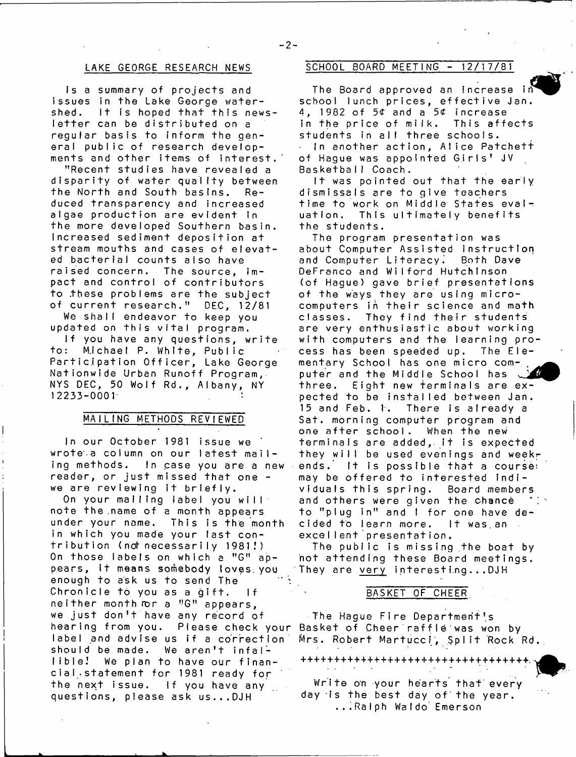## LAKE GEORGE RESEARCH NEWS

Is a summary of projects and issues in the Lake George watershed. It is hoped that this newsletter can be distributed on a regular basis to inform the general public of research developments and other items of interest.

"Recent studies have revealed a disparity of water quality between the North and South basins. Reduced tran sparency and increased algae production are evident in the more developed Southern basin. Increased sediment deposition at stream mouths and cases of elevated bacterial counts also have raised concern. The source, impact and control of contributors to these problems are the subject of current research." DEC, 12/81

We shall endeavor to keep you updated on this vital program.

If you have any questions, write to: Michael P. White, Public Participation Officer, Lake George Nationwide Urban Runoff Program, NYS DEC, 50 Wolf Rd., Albany, NY  $12233 - 0001$ 

## MAILING METHODS REVIEWED

In our October 1981 issue we wrote a column on our latest mailing methods. In case you are a new reader, or just missed that one  $$ we are reviewing it briefly.

On your malling label you will note the name of a month appears under your name. This is the month in which you made your last contribution (not necessarily 1981!) On those labels on which a "G" appears, it means somebody loves you enough to ask us to send The Chronicle to you as a gift. If neither month or a "G" appears, we just don't have any record of hearing from you. Piease check your label and advise us if a correction should be made. We aren't infallible! We plan to have our financial statement for 1981 ready for the next issue. If you have any questions, piease ask us...DJH

## SCHOOL BOARD MEETING - 12/17/81

The Board approved an increase in school lunch prices, effective Jan. 4, 1982 of 5¢ and a 5¢ increase in the price of milk. This affects students in all three schools. In another action, Alice Patchett of Hague was appointed Girls' JV Basketball Coach.

It was pointed out that the early dismissals are to give teachers time to work on Middle States evaluation, This ultimately benefits the students.

The program presentation was about Computer Assisted instruction and Computer Literacy. Both Dave DeFranco and Wilford Hutchinson (of Hague) gave brief presentations of the ways they are using microcomputers in their science and math classes. They find their students are very enthusiastic about working with computers and the learning process has been speeded up. The EIementary School has one micro com- , puter and the Middle School has three. Eight new terminals are expected to be installed between Jan. 15 and Feb. 1. There is already a Sat. morning computer program and one after school. When the new terminals are added, it is expected they will be used evenings and weekends. It is possible that a course: may be offered to interested individuals this spring. Board members and others were given the chance to "plug in" and I for one have decided to learn more. It was,an excellent presentation.

The public is missing the boat by not attending these Board meetings, They are very interesting...DJH

## BASKET OF CHEER

The Hague Fire Department's Basket of Cheer raffle was won by Mrs. Robert Martucci, Split Rock Rd.

++++++++++++++++++++++++++++

Write on your hearts that every day is the best day of the year. ...Ralph Waldo Emerson

**- 2 -**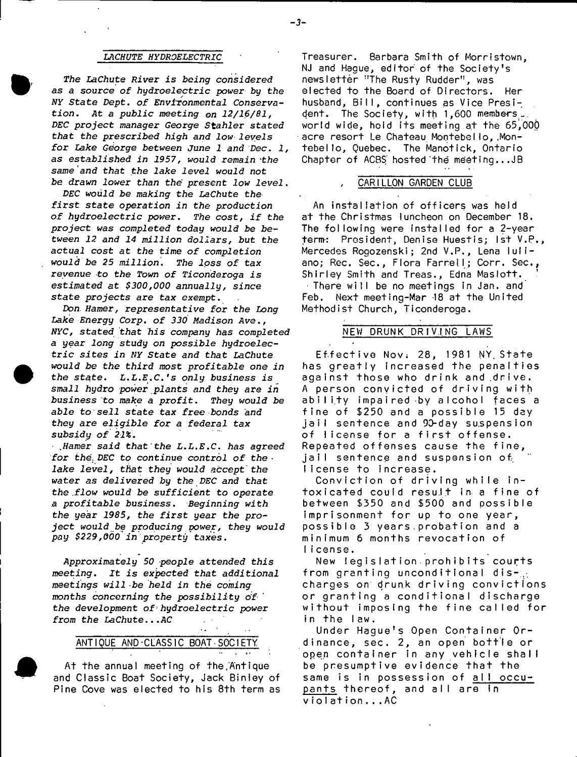#### *LACHUTE HYDROELECTRIC*

*The LaChute River is being considered as a source of hydroelectric power by the NY State Dept. of Environmental Conservation. At a public meeting on 12/16/81, DEC project manager George Stahler stated that the prescribed high and low levels for Lake George between June 1 and Dec*. *1, as established in 1957, would remain 'the same and that the lake level would not be drawn lower than the present low level*.

*DEC would be making the LaChute the first state operation in the production of hydroelectric power. The cost, if the project was completed today would be between 12 and 14 million dollars, but the actual cost at the time of completion would be 25 million. The loss of tax revenue to the Town of Ticonderoga is estimated at \$300,000 annually, since state projects are tax exempt.*

*Don. Hamer, representative for the Long Lake Energy Corp. of 330 Madison Ave*., *NYC, stated that his company has completed a year long* study *on possible hydroelectric* sites *in NY State and that LaChute would be the third most profitable one in* the state. L.L.E.C.'s only business is smaii *hydro power plants and they are in business to make a profit. They* would *be able to sell state tax free bonds and they are eligible for a federal tax subsidy of 21%.*

*Earner said that'the L.L.E.C*. *has agreed for the DEC to continue control of the lake level, that they would accept the water as delivered by the DEC and that the .flow would be sufficient* to *operate a profitable business. Beginning with the year 1985, the first year the project would be producing power, they would pay \$229,000 in property taxes.*

*Approximately 50 people attended this meeting. It is expected that additional meetings will be held in the coming months concerning the possibility of the development of1hydroelectric power from the LaChute...AC*

### ANTIQUE AND CLASSIC BOAT SOCIETY

At the annual meeting of the,Antique and Classic Boat Society, Jack Binley of Pine Cove was elected to his 8th term as

Treasurer. 8arbara Smith of Morristown, NJ and Hague, editor of the Society's newsletter "The Rusty Rudder", was elected to the Board of Directors, Her husband, Bill, continues as Vice President. The Society, with 1,600 members-, world wide, hold its meeting at the 65,000 acre resort Le Chateau Montebello, Montebello, Quebec. The Manotick, Ontario Chapter of ACBS hosted the meeting... $JB$ 

## CARILLON GARDEN CLUB

An installation of officers was held at the Christmas luncheon on December 18. The following were installed for a 2-year term-: President, Denise Huestis; 1st V.P., Mercedes Rogozenski; 2nd V.P., Lena luliano; Rec. Sec., Flora Farrell; Corr. Sec., Shirley Smith and Treas., Edna Maslott. There will be no meetings in Jan. and Feb. Next meeting-Mar -18 at the United Methodist Church, Ticonderoga.

#### NEW DRUNK DRIVING LAWS

Effective Nov: 28, 1981 NY State has greatly increased the penalties against those who drink and drive. A person convicted of driving with ability impaired by alcohol faces a fine of \$250 and a possible 15 day ja il sentence and 90-day suspension of license for a first offense. Repeated offenses cause the fine, jail sentence and suspension of, license to increase.

Conviction of driving while intoxicated could result in a fine of between \$350 and \$500 and possible imprisonment for up to one year, possible 3 years probation and a minimum 6 months revocation of Ii cense.

New legislation prohibits courts from granting unconditional discharges on drunk driving convictions or granting a conditional discharge without imposing the fine called for in the law.

Under Hague's Open Container Ordinance, sec. 2, an open bottle or open container in any vehicle shall be presumptive evidence that the same is in possession of all occupants thereof, and all are in violation...AC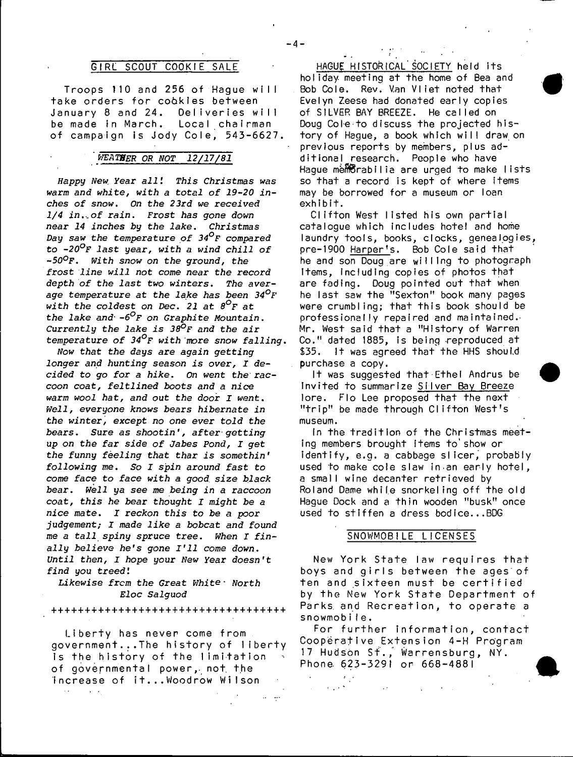## GIRL SCOUT COOKIE SALE

Troops 110 and 256 of Haque will take orders for cookies between January 8 and 24. Deliveries will be made in March. Local chairman of campaign is Jody Cole, 543-6627.

## ' *VJEATBER OR NOT 12/17/81*

*Nappy New. Year all I This Christmas was warm and white, with a total of 19-20 inches of snow. On the 23rd we received 1/4 in.-.of rain. Frost has gone down near 14* inches *by the lake. Christmas Day saw the temperature of 34°f compared* to *-20°F last* year, with a *wind chill of -50°F. With snow on the ground, the frost line will not come near the record depth of the last two winters. The average temperature at the lake has been 34°F with the coldest on Dec. 21 at 8°f at the lake and*• *-6°F on Graphite Mountain. Currently the lake is 38°F and the air temperature of 34°F with more snow falling.*

*Now* that the days are *again getting longer and hunting season is over, I decided to go for a hike. On went the raccoon coat, feltlined boots and a nice warm wool hat, and out the door I went. Well, everyone knows bears hibernate in the winter, except no one ever told the bears. Sure as shootin', after getting up on the far side of Jabes Pond, I get the* funny *feeling that thar is somethin' following me. So I spin around fast to come face to face with a good, size black bear. Well ya see me being* in a *raccoon coat, this he bear thought I might be a nice mate. I reckon this to be a poor* judgement; I made *like a bobcat and found me a tall spiny spruce tree. When I finally believe he's gone I 'll come down. Until then, I hope your New Year doesn't find you treed'.*

*Likewise frcm the Great White*- Worth *Eloc Salguod*

++++++++++++++++++++-H-+++++++++++++

Liberty has never come from government...The history of liberty is the history of the limitation of governmental power,, not the increase of it... Woodrow Wilson  $\sim 10^{-11}$  $\sim$   $\sim$ 

HAGUE HISTORICAL' SOCIETY held its holiday meeting at the home of Bea and Bob Cole. Rev. Van Vliet noted that Evelyn Zeese had donated early copies of SILVER BAY BREEZE. He called on Doug Cole to discuss the projected histo ry of Hague, a book which will draw on previous reports by members, plus additional research. People who have Hague memorabilia are urged to make lists so that a record is kept of where items may be borrowed for a museum or loan exhibit.

Clifton West listed his own partial catalogue which includes hotel and home laundry tools, books, clocks, genealogies, pre-1900 Harper's. Bob Cole said that he and son Doug are willing to photograph Items, Including copies of photos that are fading. Doug pointed out that when he last saw the "Sexton" book many pages were crumbling; that this book should be professionally repaired and maintained. Mr. West said that a "History of Warren Co." dated 1885, is being reproduced at \$35. It was agreed that the HHS should purchase a copy.

It was suggested that Ethel Andrus be Invited to summarize Silver Bay Breeze lore. Flo Lee proposed that the next "trip" be made through Clifton West's museum.

In the tradition of the Christmas meeting members brought items to'show or identify, e.g. a cabbage slicer, probably used to make cole slaw in an early hotel, a small wine decanter retrieved by Roland Dame while snorkeling off the old Hague Dock and a thin wooden "busk" once used to stiffen a dress bodice...BDG

## SNOWMOBILE LICENSES

New York State law requires that boys and girls between the ages of ten and sixteen must be certified by the New York State Department of Parks, and Recreation, to operate a snowmobile.

For further information, contact Cooperative Extension 4-H Program 17 Hudson Sf., Warrensburg, NY. Phone. 623-3291 or 668-4881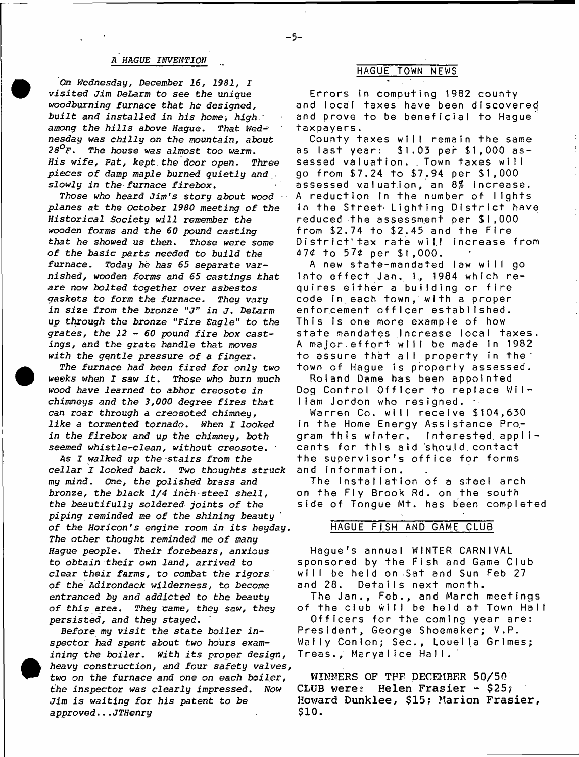#### A HAGUE *INVENTION*

*On Wednesday, December 16, 1981, I visited Jim DeLarm to see the* unique *woodburning furnace that he designed, built and installed in his home, high.' among the hills above Hague. That Wednesday was chilly on the mountain, about 28°f . The house was almost too warm. His wife, Pat, kept, the door open. Three pieces of damp maple burned quietly and* . *slowly in the furnace firebox.*

*Those who heard Jim's story about wood planes at the October 1980 meeting of* the *Historical Society will remember the wooden forms and the 60 pound casting that he showed us then. Those were some of the basic parts* needed *to build the furnace. Today he has 65 separate varnished, wooden forms and 65 castings that are now bolted together over asbestos gaskets to form the furnace. They vary in size from the bronze* "j" *in J.* DeLarm *up through the bronze "Fire Eagle" to the grates, the 12* - *60 pound fire box castings, and the grate handle that moves with the gentle pressure of a finger.*

*The furnace had been fired for only two weeks when I saw it. Those who* burn much *wood have learned to abhor creosote in chimneys and the 3,000 degree fires that can roar through a creosoted chimney, like a tormented tornado. When I looked in the firebox and up the chimney, both seemed whistle-clean, without creosote.* 1

As *I walked up the 'Stairs from the cellar I looked back. Two thoughts struck my mind. One, the polished brass and bronze,* the *black 1/4 inch steel shell, the beautifully soldered joints of the piping reminded* me *of the shining beauty of the Horicon's engine room in its* heyday. *The other thought reminded* me *of many* Hague *people. Their forebears, anxious to obtain their own land, arrived to clear their farms, to combat the rigors of the Adirondack wilderness, to become entranced by and addicted to the beauty of this area. They came, they saw, they persisted, and they stayed.*

*Before my visit the state boiler inspector had spent about two hours examining the boiler. With its proper design, heavy construction, and four safety valves, two on* the furnace and *one on each boiler, the inspector was clearly impressed. Now Jim is waiting for his patent to be approved...JTHenry*

## HAGUE TOWN NEWS

Errors in computing 1982 county and local taxes have been discovered and prove to be beneficial to Hague taxpayers.

County taxes will remain the same as last year: \$1.03 per \$1,000 assessed valuation. . Town taxes will go from \$7.24 to \$7.94 per \$1,000 assessed valuation, an  $8\%$  increase. A reduction in the number of lights in the Street Lighting District have reduced the assessment per \$ l ,000 from \$2.74 to \$2.45 and the F ire District'tax rate will increase from 47\* to 57*t* per \$1,000.

A new state-mandated law will go into effect Jan. 1, 1984 which requires either a building or fire code in each town, with a proper enforcement officer established. This is one more example of how state mandates Increase local taxes. A major effort will be made in 1982 to assure that all property in the town of Hague is properly assessed.

Roland Dame has been appointed Dog Control Officer to replace William Jordon who resigned. .

Warren Co. will receive \$104,630 In the Home Energy Assistance Program this winter. Interested applicants for this aid should contact the supervisor's office for forms and information.

The installation of a steel arch on the Fly Brook Rd. on the south side of Tongue Mt. has been completed

## HAGUE FISH AND GAME CLUB

Hague's annual WINTER CARNIVAL sponsored by the Fish and Game Club will be held on Sat and Sun Feb 27 and 28. Details next month.

The Jan., Feb., and March meetings of the club will be held at Town Hall Officers for the coming year are: President, George Shoemaker; V.P, Wally Conlon; Sec., Loueila Grimes; Treas., Maryalice Hail.

**WINNERS OF TFF DECEMBER 50/50 CLUB weres Helen Frasier - \$25; Howard Dunklee, \$15? Marion Frasier, \$10.**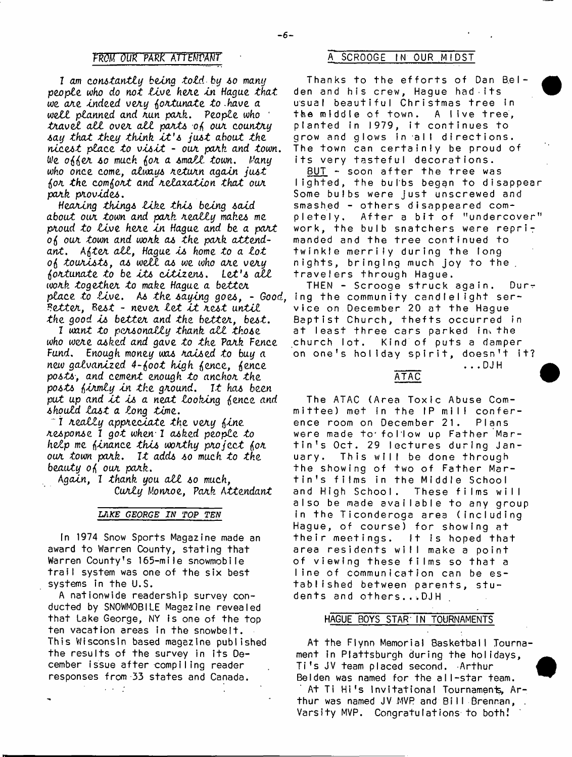### FROM OUR PARK ATTEMPANT

I am constantly being told by so many people who do not live here in Hague that we are indeed very fortunate to have a well planned and run park. People who travel all over all parts of our country say that they think it's just about the nicest place to visit - our park and town. We offer so much for a small town. Many who once come, always return again just for the comfort and relaxation that our park provides.

Hearing things like this being said about our town and park really makes me proud to live here in Hague and be a part of our town and work as the park attendant. After all, Hague is home to a lot of tourists, as well as we who are very fortunate to be its citizens. Let's all work together to make Hague a better place to live. As the saying goes, - Good, ing the community candlelight ser-<br>Better, Best - never let it rest until vice on December 20 at the Hague the good is better and the better, best.

I want to personally thank all those who were asked and gave to the Park Fence Fund. Enough money was raised to buy a new galvanized 4-foot high fence, fence posts, and cement enough to anchor the posts firmly in the ground. It has been put up and it is a neat looking fence and should last a long time.

"I really appreciate the very fine response I got when I asked people to help me finance this worthy project for our town park. It adds so much to the beauty of our park.

Again, I thank you all so much. Curly Monroe, Park Attendant

## LAKE GEORGE IN TOP TEN

In 1974 Snow Sports Magazine made an award to Warren County, stating that Warren County's 165-mile snowmobile trail system was one of the six best systems in the U.S.

A nationwide readership survey conducted by SNOWMOBILE Magazine revealed that Lake George, NY is one of the top ten vacation areas in the snowbelt. This Wisconsin based magazine published the results of the survey in its December issue after compiling reader responses from 33 states and Canada.

 $\sim 10^{-10}$ 

## SCROOGE IN OUR MIDST

Thanks to the efforts of Dan Belden and his crew, Hague had its usual beautiful Christmas tree In the middle of town. A live tree, planted in 1979, it continues to grow and glows in all directions. The town can certainly be proud of its very tasteful decorations.

<u>BUT</u> - soon after the tree was lighted, the bulbs began to disappear Some bulbs were just unscrewed and smashed - others disappeared completely. After a bit of "undercover" work, the bulb snatchers were reprimanded and the tree continued to twinkle merrily during the long nights, bringing much joy to the. travelers through Hague.

THEN - Scrooge struck again.  $Dur<sub>+</sub>$ Baptist Church, thefts occurred in at least three cars parked in the church lot. Kind of puts a damper on one's holiday spirit, doesn't it?

ATAC

...DJH

The ATAC (Area Toxic Abuse Committee) met in the IP mill conference room on December 21. Plans were made to follow up Father Martin's Oct. 29 lectures during Jan-This will be done through uary. the showing of two of Father Martin's films in the Middle School and High School. These films will also be made available to any group in the Ticonderoga area (including Hague, of course) for showing at their meetings. It is hoped that area residents will make a point of viewing these films so that a line of communication can be established between parents, students and others...DJH

#### HAGUE BOYS STAR IN TOURNAMENTS

At the Flynn Memorial Basketball Tournament in Plattsburgh during the holidays, Ti's JV team placed second. Arthur Belden was named for the all-star team. At Ti Hi's Invitational Tournaments, Arthur was named JV MVP and Bill Brennan, . Varsity MVP. Congratulations to both!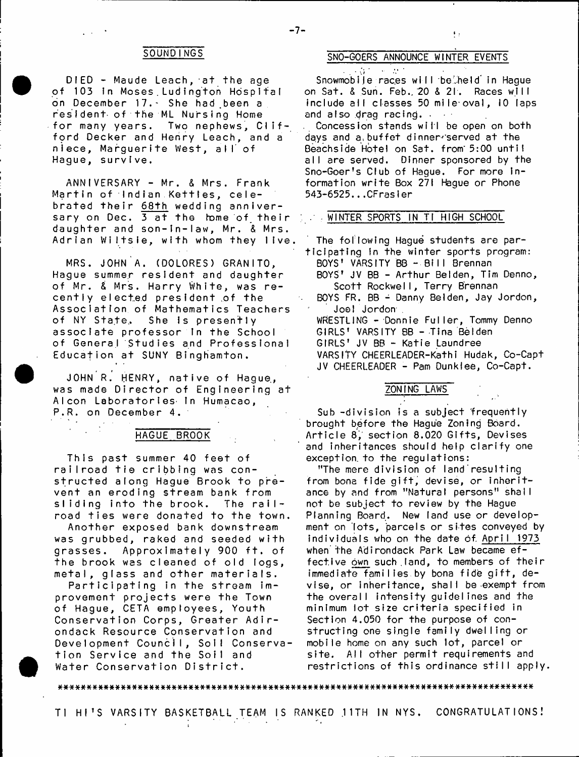DIED - Maude Leach, at the age of 103 in Moses Ludington Hospital on December 17. She had been a resident of the ML Nursing Home for many years. Two nephews, Clifford Decker and Henry Leach, and a niece, Marguerite West, a ll' of Hague, survive.

ANNIVERSARY - Mr. & Mrs. Frank Martin of Indian Kettles, celebrated their <u>68th</u> wedding anniversary on Dec. 3 at the home of their daughter and son-in-law, Mr. & Mrs. Adrian Wiltsie, with whom they live.

MRS. JOHN A. (DOLORES) GRANITO, Hague summer resident and daughter of Mr. & Mrs. Harry White, was recently elected president.of the Association of Mathematics Teachers of NY State, She is presently associate professor in the School of General Studies and Professional Education at SUNY Binghamton.

JOHN R. HENRY, native of Hague, was made Director of Engineering at Alcon Laboratories in Humacao, P.R. on December 4.

#### HAGUE BROOK

This past summer 40 feet of railroad tie cribbing was constructed along Hague Brook to prevent an eroding stream bank from sliding into the brook. The railroad ties were donated to the town.

Another exposed bank downstream was grubbed, raked and seeded with grasses. Approximately 900 ft. of the brook was cleaned of old logs, metal, glass and other materials.

Participating in the stream improvement projects were the Town of Hague, CETA employees, Youth Conservation Corps, Greater Adirondack Resource Conservation and Development Council, Soil Conservation Service and the Soil and Water Conservation District.

# **SOUNDINGS SNO-GOERS ANNOUNCE WINTER EVENTS**

 $\mathcal{L}_{\text{eff}}$  and  $\mathcal{L}_{\text{eff}}$  and  $\mathcal{L}_{\text{eff}}$ Snowmobile races will belheld in Haque on Sat. & Sun. Feb., 20 & 21. Races will include all classes 50 mile-oval, 10 laps and also drag racing. .

. Concession stands will be open on both days and a buffet dinner served at the Beachside Hotel on Sat. from' 5:00 until all are served. Dinner sponsored by the Sno-Goer's Club of Hague. For more in formation write Box 271 Hague or Phone 543-6525...CFrasler

## • WINTER SPORTS IN Tl HIGH SCHOOL

The foI Iowing Hague students are participating in the winter sports program: BOYS' VARSITY BB - Bill Brennan BOYS' JV BB - Arthur Belden, Tim Denno, Scott Rockwell, Terry Brennan BOYS FR. BB - Danny Beiden, Jay Jordon, Joel Jordon . WRESTLING - Donnie Fuller, Tommy Denno GIRLS' VARSITY BB - Tina Beiden GIRLS' JV BB - Katie Laundree VARSITY CHEERLEADER-Kathi Hudak, Co-Capt JV CHEERLEADER - Pam Dunklee, Co-Capt.

## ZONING LAWS

Sub -division is a subject frequently brought before the Hague Zoning Board. Article 8, section 8.020 Gifts, Devises and inheritances should help clarify one exception, to the regulations:

"The mere division of land' resulting from bona fide gift, devise, or inheritance by and from "Natural persons" shall not be subject to review by the Hague Planning Board. New land use or development on lots, parcels or sites conveyed by individuals who on the date of April 1973 when the Adirondack Park Law became effective own such land, to members of their immediate families by bona fide gift, devise, or inheritance, shall be-exempt from the overall intensity guidelines and the minimum lot size criteria specified in Section 4.050 for the purpose of constructing one single family dwelling or mobile home on any such lot, parcel or site. All other permit requirements and restrictions of this ordinance still apply.

##\*\*#\*##############\*#\*##\*#\*#\*\*\*#\*\*\*##\*###\*#\*####\*##\*####\*#\*#\*#\*#####\*\*#\*#####\*###\*#

TI HI'S VARSITY BASKETBALL TEAM IS RANKED 11TH IN NYS. CONGRATULATIONS!